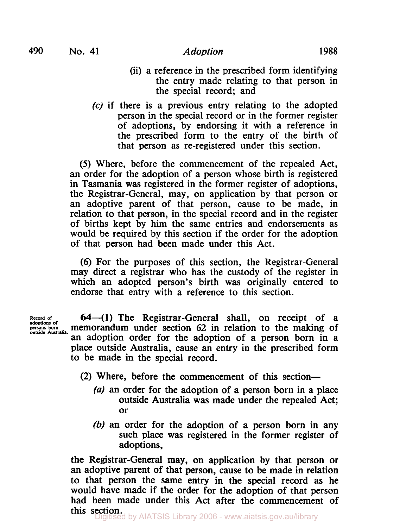**490 No. 41** *Adoption* **1988** 

- (ii) a reference in the prescribed form identifying the entry made relating to that person in the special record; and
- *(c)* if there is a previous entry relating to the adopted person in the special record or in the former register of adoptions, by endorsing it with a reference in the prescribed form to the entry of the birth of that person as re-registered under this section.

*(5)* Where, before the commencement of the repealed Act, an order for the adoption of a person whose birth is registered in Tasmania was registered in the former register of adoptions, the Registrar-General, may, on application by that person or an adoptive parent of that person, cause to be made, in relation to that person, in the special record and in the register of births kept by him the same entries and endorsements as would be required by this section if the order for the adoption of that person had been made under this Act.

(6) For the purposes of this section, the Registrar-General may direct a registrar who has the custody of the register in which an adopted person's birth was originally entered to endorse that entry with a reference to this section.

**adoptions of outside Australia.** 

**64-(1)** The Registrar-General shall, on receipt of a **persons born** memorandum under section 62 in relation to the making of an adoption order for the adoption of a person born in a place outside Australia, cause an entry in the prescribed form to be made in the special record.

- (2) Where, before the commencement of this section-
	- (a) an order for the adoption of a person born in a place outside Australia was made under the repealed Act; or
	- (b) an order for the adoption of a person born in any such place was registered in the former register of adoptions,

the Registrar-General may, on application by that person or an adoptive parent of that person, cause to be made in relation to that person the same entry in the special record as he would have made if the order for the adoption of that person had been made under this Act after the commencement of **this section.**<br>Digitised by AIATSIS Library 2006 - www.aiatsis.gov.au/library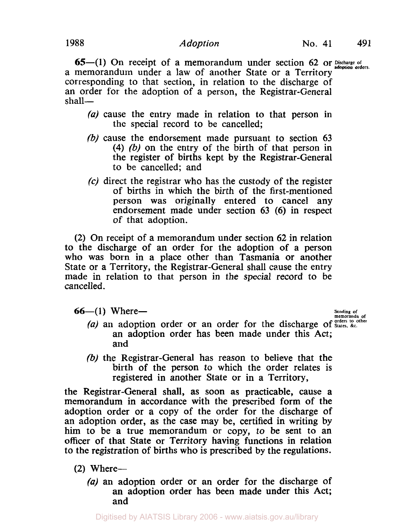**65**—(1) On receipt of a memorandum under section 62 or **Discharge of** adoption orders. a memorandum under a law of another State or a Territory corresponding to that section, in relation to the discharge of an order for the adoption of a person, the Registrar-General shall—

- (a) cause the entry made in relation to that person in the special record to be cancelled;
- (b) cause the endorsement made pursuant to section **63 (4)** (b) on the entry of the birth of that person in the register of births kept by the Registrar-General to be cancelled; and
- **(c)** direct the registrar who has the custody of the register of births in which the birth of the first-mentioned person was originally entered to cancel any endorsement made under section **63 (6)** in respect of that adoption.

**(2)** On receipt of a memorandum under section **62** in relation to the discharge of an order for the adoption of a person who was born in a place other than Tasmania or another State or a Territory, the Registrar-General shall cause the entry made in relation to that person in the special record to be cancelled.

**Sending of Sending of Sending of Beam of All Sending of Beam of**  $\frac{1}{n}$  **are**  $\frac{1}{n}$  **<b>Containing of**  $\frac{1}{n}$   $\frac{1}{n}$ 

- (a) an adoption order or an order for the discharge of States, &c. an adoption order has been made under this Act; and
- (b) the Registrar-General has reason to believe that the birth of the person to which the order relates is registered in another State or in a Territory,

the Registrar-General shall, as soon as practicable, cause a memorandum in accordance with the prescribed form of the adoption order or a copy of the order for the discharge of an adoption order, as the case may be, certified in writing by him to be a true memorandum or copy, to be sent to an officer of that State or Territory having functions in relation to the registration of births who is prescribed by the regulations.

- $(2)$  Where-
	- *(a)* an adoption order or an order for the discharge of an adoption order has been made under this Act; and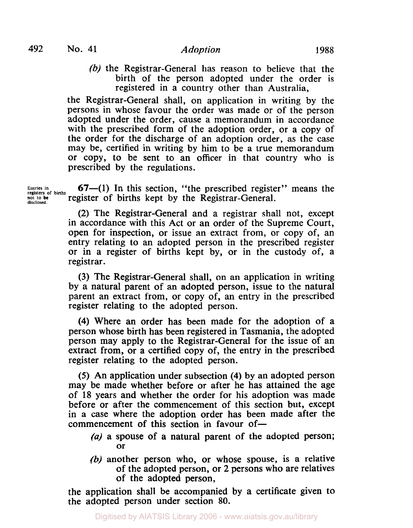(b) the Registrar-General has reason to believe that the birth of the person adopted under the order is registered in a country other than Australia,

the Registrar-General shall, on application in writing by the persons in whose favour the order was made or of the person adopted under the order, cause a memorandum in accordance with the prescribed form of the adoption order, or a copy of the order for the discharge of an adoption order, as the case may be, certified in writing by him to be a true memorandum or copy, to be sent to an officer in that country who is prescribed by the regulations.

**67—(1)** In this section, "the prescribed register" means the Entries in **Entries registers in of births**  register of births kept by the Registrar-General. **not disclosed.** *<sup>10</sup>*

> **(2)** The Registrar-General and a registrar shall not, except in accordance with this Act or an order of the Supreme Court, open for inspection, or issue an extract from, or copy of, an entry relating to an adopted person in the prescribed register or in a register of births kept by, or in the custody of, a registrar.

> (3) The Registrar-General shall, on an application in writing by a natural parent of an adopted person, issue to the natural parent an extract from, or copy of, an entry in the prescribed register relating to the adopted person.

> **(4)** Where an order has been made for the adoption of a person whose birth has been registered in Tasmania, the adopted person may apply to the Registrar-General for the issue of an extract from, or a certified copy of, the entry in the prescribed register relating to the adopted person.

> *(5)* An application under subsection **(4)** by an adopted person may be made whether before or after he has attained the age of **18** years and whether the order for his adoption was made before or after the commencement of this section but, except in a case where the adoption order has been made after the commencement of this section in favour of-

- *(a)* a spouse of a natural parent of the adopted person; or
- (b) another person who, or whose spouse, is a relative of the adopted person, or 2 persons who are relatives of the adopted person,

the application shall be accompanied by a certificate given to the adopted person under section **80.**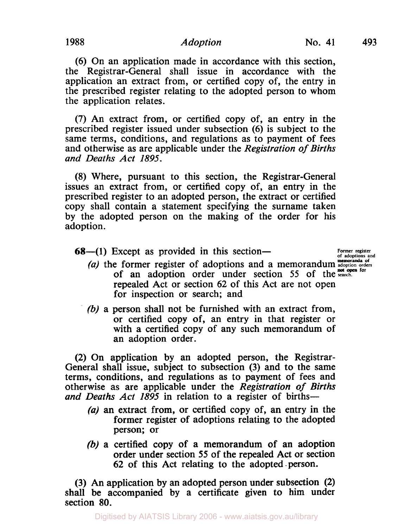# **1988** *Adoption* **No. 41 493**

(6) On an application made in accordance with this section, the Registrar-General shall issue in accordance with the application an extract from, or certified copy of, the entry in the prescribed register relating to the adopted person to whom the application relates.

(7) An extract from, or certified copy of, an entry in the prescribed register issued under subsection (6) is subject to the same terms, conditions, and regulations as to payment of fees and otherwise as are applicable under the *Registration of Births and Deaths Act 1895.* 

**(8)** Where, pursuant to this section, the Registrar-General issues an extract from, or certified copy of, an entry in the prescribed register to an adopted person, the extract or certified copy shall contain a statement specifying the surname taken by the adopted person on the making of the order for his adoption.

**68—(1)** Except as provided in this section—

- (1) Except as provided in this section—<br>(a) the former register of adoptions and a memorandum adoptions and a memorandum adoption orders of an adoption order under section 55 of the search. repealed Act or section 62 of this Act are not open for inspection or search; and
- (b) a person shall not be furnished with an extract from, or certified copy of, an entry in that register or with a certified copy of any such memorandum of an adoption order.

(2) On application by an adopted person, the Registrar-General shall issue, subject to subsection **(3)** and to the same terms, conditions, and regulations as to payment of fees and otherwise as are applicable under the *Registration of Births*  and Deaths Act 1895 in relation to a register of births-

- *(a)* an extract from, or certified copy of, an entry in the former register of adoptions relating to the adopted person; or
- (b) a certified copy of a memorandum of an adoption order under section *55* of the repealed Act or section 62 of this Act relating to the adopted .person.

(3) An application by an adopted person under subsection **(2)**  shall be accompanied by a certificate given to him under section *80.*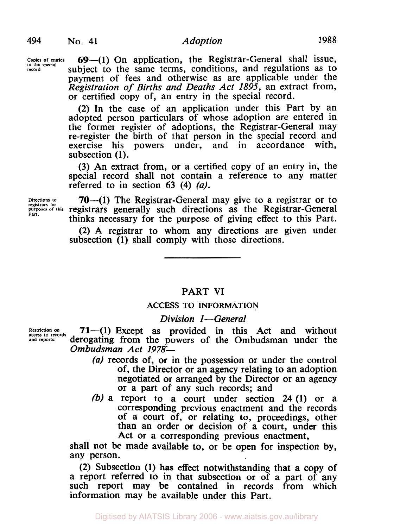**Copies in the record** 

**69**-(1) On application, the Registrar-General shall issue, subject to the same terms, conditions, and regulations as to payment of fees and otherwise as are applicable under the *Registration of Births and Deaths Act 1895,* an extract from, or certified copy of, an entry in the special record.

(2) In the case of an application under this Part by an adopted person particulars of whose adoption are entered in the former register of adoptions, the Registrar-General may re-register the birth of that person in the special record and exercise his powers under, and in accordance with, subsection **(1).** 

(3) An extract from, or a certified copy of an entry in, the special record shall not contain a reference to any matter referred to in section 63 **(4)** *(a).* 

Directions to **70**—(1) The Registrar-General may give to a registrar or to purposes of this registrars generally such directions as the Registrar-General thinks necessary for the purpose of giving effect to this Part.

> (2) A registrar to whom any directions are given under subsection **(1)** shall comply with those directions.

## PART VI

### **ACCESS** TO **INFORMATION**

### *Division I-General*

Restriction on  $71-$ (1) Except as provided in this Act and without access to records deroors. derogating from the powers of the Ombudsman under the *Ombudsman Act 1978-* 

- *(a)* records of, or in the possession or under the control of, the Director or an agency relating to an adoption negotiated or arranged by the Director or an agency or a part of any such records; and
- *(b)* a report to a court under section **24 (1)** or a corresponding previous enactment and the records of a court of, or relating to, proceedings, other than an order or decision of a court, under this Act or a corresponding previous enactment,

shall not be made available to, or be open for inspection by, any person.

(2) Subsection **(1)** has effect notwithstanding that a copy of a report referred to in that subsection or of a part of any such report may be contained in records from which information may be available under this Part.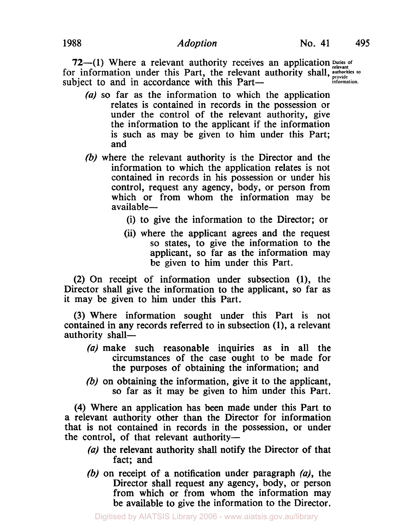**72**-(1) Where a relevant authority receives an application **puties of** relevant for information under this Part, the relevant authority shall, authorities to subject to and in accordance with this Part—

- *(a)* **so** far as the information to which the application relates is contained in records in the possession or under the control of the relevant authority, give the information to the applicant if the information is such as may be given to him under this Part; and
- (b) where the relevant authority is the Director and the information to which the application relates is not contained in records in his possession or under his control, request any agency, body, or person from which or from whom the information may be available-
	- (i) to give the information to the Director; or
	- (ii) where the applicant agrees and the request so states, to give the information to the applicant, so far as the information may be given to him under this Part.

**(2)** On receipt of information under subsection (1), the Director shall give the information to the applicant, so far as it may be given to him under this Part.

(3) Where information sought under this Part is not contained in any records referred to in subsection **(1),** a relevant authority shall-

- *(a)* make such reasonable inquiries as in all the circumstances of the case ought to be made for the purposes of obtaining the information; and
- (b) on obtaining the information, give it to the applicant, so far as it may be given to him under this Part.

**(4)** Where an application has been made under this Part **to**  a relevant authority other than the Director for information that is not contained in records in the possession, or under the control, of that relevant authority-

- *(a)* the relevant authority shall notify the Director of that fact; and
- (b) on receipt of a notification under paragraph  $(a)$ , the Director shall request any agency, body, or person from which or from whom the information may be available to give the information to the Director.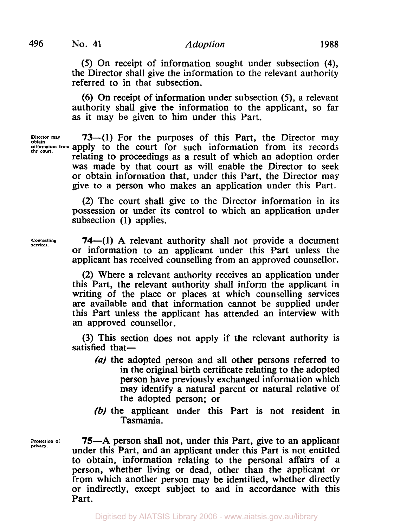# **496 No. 41** *Adoption* **1988**

*(5)* On receipt of information sought under subsection **(4),**  the Director shall give the information to the relevant authority referred to in that subsection.

(6) On receipt of information under subsection *(5),* a relevant authority shall give the information to the applicant, so far as it may be given to him under this Part.

obtain<br>Information from apply to the court for such information from its records Director may **73—(1)** For the purposes of this Part, the Director may relating to proceedings as a result of which an adoption order was made by that court as will enable the Director to seek or obtain information that, under this Part, the Director may give to a person who makes an application under this Part.

> (2) The court shall give to the Director information in its possession or under its control to which an application under subsection (1) applies.

**Counselling services.** 

**74—(1)** A relevant authority shall not provide a document or information to an applicant under this Part unless the applicant has received counselling from an approved counsellor.

(2) Where a relevant authority receives an application under this Part, the relevant authority shall inform the applicant in writing of the place or places at which counselling services are available and that information cannot be supplied under this Part unless the applicant has attended an interview with an approved counsellor.

(3) This section does not apply if the relevant authority is satisfied that $-$ 

- (a) the adopted person and all other persons referred to in the original birth certificate relating to the adopted person have previously exchanged information which may identify a natural parent or natural relative of the adopted person; or
- (b) the applicant under this Part is not resident in Tasmania.

**Protection of privacy.** 

**75-A** person shall not, under this Part, give to an applicant under this Part, and an applicant under this Part is not entitled to obtain, information relating to the personal affairs of a person, whether living or dead, other than the applicant or from which another person may be identified, whether directly or indirectly, except subject to and in accordance with this Part.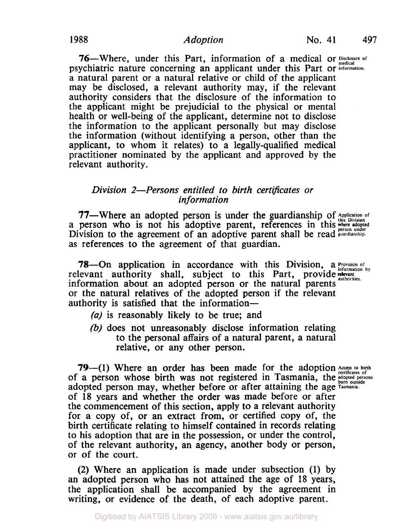**76—Where, under this Part, information of a medical or Disclosure of** psychiatric nature concerning an applicant under this Part or **lnformation.**  a natural parent or a natural relative or child of the applicant may be disclosed, a relevant authority may, if the relevant authority considers that the disclosure of the information to the applicant might be prejudicial to the physical or mental health or well-being of the applicant, determine not to disclose the information to the applicant personally but may disclose the information (without identifying a person, other than the applicant, to whom it relates) to a legally-qualified medical practitioner nominated by the applicant and approved by the relevant authority.

## *Division 2-Persons entitled to birth certificates or in formation*

77—Where an adopted person is under the guardianship of Application of a person who is not his adoptive parent, references in this where aloned Division to the agreement of an adoptive parent shall be read guardianship. as references to the agreement of that guardian.

78—On application in accordance with this Division, a **Provision of** relevant authority shall, subject to this Part, provide relevant **relevant** relevant authority shall, subject to this Part, provide **authorities.** information about an adopted person or the natural parents or the natural relatives of the adopted person if the relevant authority is satisfied that the information—

- *(a)* is reasonably likely to be true; and
- *(b)* does not unreasonably disclose information relating to the personal affairs of a natural parent, a natural relative, or any other person.

**79—(1)** Where an order has been made for the adoption *Access to birth* of a person whose birth was not registered in Tasmania, the adopted persons adopted person may, whether before or after attaining the age **Tasmania.**  of 18 years and whether the order was made before or after the commencement of this section, apply to a relevant authority for a copy of, or an extract from, or certified copy of, the birth certificate relating to himself contained in records relating to his adoption that are in the possession, or under the control, of the relevant authority, an agency, another body or person, or of the court.

(2) Where an application is made under subsection **(1)** by an adopted person who has not attained the age of 18 years, the application shall be accompanied by the agreement in writing, or evidence of the death, of each adoptive parent.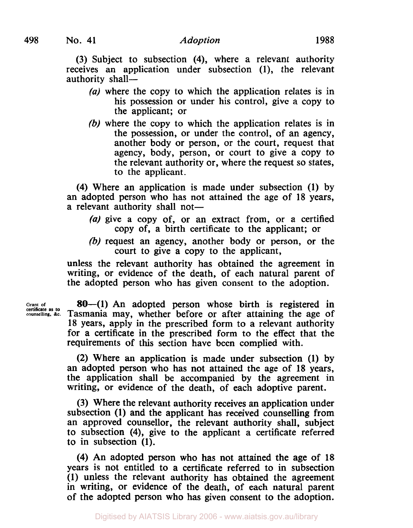(3) Subject to subsection **(4),** where a relevant authority receives an application under subsection (1), the relevant authority shall-

- *(a)* where the copy to which the application relates is in his possession or under his control, give a copy to the applicant; or
- (b) where the copy to which the application relates is in the possession, or under the control, of an agency, another body or person, or the court, request that agency, body, person, or court to give a copy to the relevant authority or, where the request so states, to the applicant.

(4) Where an application is made under subsection (1) by an adopted person who has not attained the age of 18 years, a relevant authority shall not-

- *(a)* give a copy of, or an extract from, or a certified copy of, a birth certificate to the applicant; or
- (b) request an agency, another body or person, or the court to give a copy to the applicant,

unless the relevant authority has obtained the agreement in writing, or evidence of the death, of each natural parent of the adopted person who has given consent to the adoption.

Grant of **80-(1)** An adopted person whose birth is registered in Tasmania may, whether before or after attaining the age of 18 years, apply in the prescribed form to a relevant authority for a certificate in the prescribed form to the effect that the requirements of this section have been complied with.

> **(2)** Where an application is made under subsection (1) by an adopted person who has not attained the age of 18 years, the application shall be accompanied by the agreement in writing, or evidence of the death, of each adoptive parent.

> (3) Where the relevant authority receives an application under subsection (1) and the applicant has received counselling from an approved counsellor, the relevant authority shall, subject to subsection **(4),** give to the applicant a certificate referred to in subsection (1).

> **(4)** An adopted person who has not attained the age **of** 18 years is not entitled to a certificate referred to in subsection (1) unless the relevant authority has obtained the agreement in writing, or evidence of the death, of each natural parent of the adopted person who has given consent to the adoption.

**certificate as to** counselling, &c.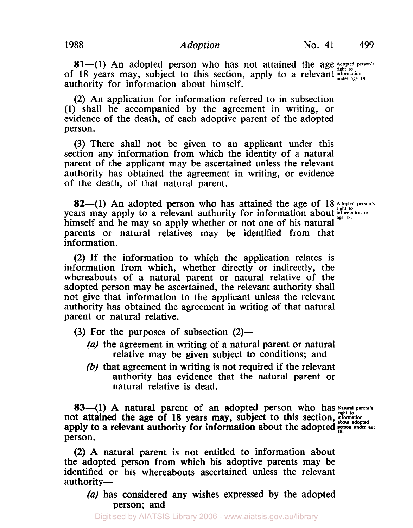81-(1) An adopted person who has not attained the age Adopted person's of 18 years may, subject to this section, apply to a relevant **information** under age 18. authority for information about himself.

**(2)** An application for information referred to in subsection **(1)** shall be accompanied by the agreement in writing, or evidence of the death, of each adoptive parent of the adopted person.

(3) There shall not be given to an applicant under this section any information from which the identity of a natural parent of the applicant may be ascertained unless the relevant authority has obtained the agreement in writing, or evidence of the death, of that natural parent.

**82**—(1) An adopted person who has attained the age of 18 Adopted person's years may apply to a relevant authority for information about **information** at himself and he may so apply whether or not one of his natural parents or natural relatives may be identified from that information.

(2) If the information to which the application relates is information from which, whether directly or indirectly, the whereabouts of a natural parent or natural relative of the adopted person may be ascertained, the relevant authority shall not give that information to the applicant unless the relevant authority has obtained the agreement in writing of that natural parent or natural relative.

- (3) For the purposes of subsection  $(2)$ 
	- (a) the agreement in writing of a natural parent or natural relative may be given subject to conditions; and
	- *(b)* that agreement in writing is not required if the relevant authority has evidence that the natural parent or natural relative is dead.

**83—(1) A** natural parent of an adopted person who has Natural parent's apply to a relevant authority for information about the adopted person under age not attained the age of 18 years may, subject to this section, *information* about a section, **information** person.

(2) A natural parent is not entitled to information about the adopted person from which his adoptive parents may be identified or his whereabouts ascertained unless the relevant authority-

*(a)* has considered any wishes expressed by the adopted person; and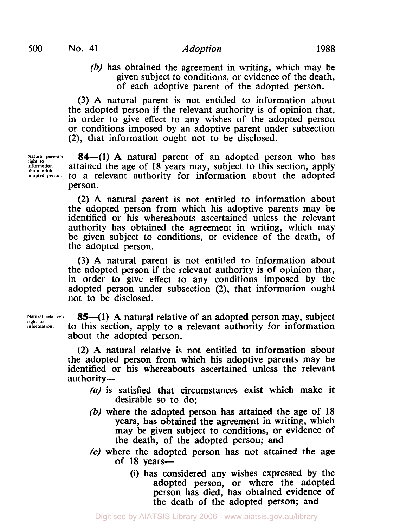(b) has obtained the agreement in writing, which may be given subject to conditions, or evidence of the death, of each adoptive parent of the adopted person.

(3) A natural parent is not entitled to information about the adopted person if the relevant authority is of opinion that, in order to give effect to any wishes of the adopted person or conditions imposed by an adoptive parent under subsection (2), that information ought not to be disclosed.

Natural parent's **84**—(1) A natural parent of an adopted person who has information attained the age of **18** years may, subject to this section, apply<br>about adult to a relevant authority for information about the adopted person.

> (2) A natural parent is not entitled to information about the adopted person from which his adoptive parents may be identified or his whereabouts ascertained unless the relevant authority has obtained the agreement in writing, which may be given subject to conditions, or evidence of the death, of the adopted person.

> (3) A natural parent is not entitled to information about the adopted person if the relevant authority is of opinion that, in order to give effect to any conditions imposed by the adopted person under subsection **(2),** that information ought not to be disclosed.

**Natural relative's**<br>right to **information.** 

**85-(1)** A natural relative of an adopted person may, subject to this section, apply to a relevant authority for information about the adopted person.

(2) A natural relative is not entitled to information about the adopted person from which his adoptive parents may be identified or **his** whereabouts ascertained unless the relevant authority-

- $(a)$  is satisfied that circumstances exist which make it desirable so to do;
- (b) where the adopted person has attained the age of **18**  years, has obtained the agreement in writing, which may be given subject to conditions, or evidence of the death, of the adopted person; and
- *(c)* where the adopted person has not attained the age of **18** years-
	- (i) has considered any wishes expressed by the adopted person, or where the adopted person has died, has obtained evidence of the death of the adopted person; and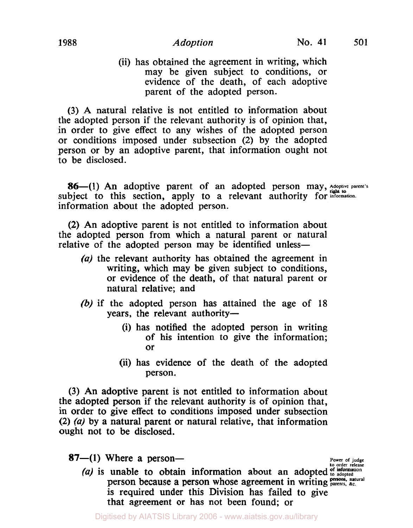(ii) has obtained the agreement in writing, which may be given subject to conditions, or evidence of the death, of each adoptive parent of the adopted person.

(3) A natural relative is not entitled to information about the adopted person if the relevant authority is of opinion that, in order to give effect to any wishes of the adopted person or conditions imposed under subsection (2) by the adopted person or by an adoptive parent, that information ought not to be disclosed.

**86-(1)** An adoptive parent of an adopted person may, Adoptive parent's subject to this section, apply to a relevant authority for *information*. information about the adopted person.

**(2)** An adoptive parent is not entitled to information about the adopted person from which a natural parent or natural relative of the adopted person may be identified unless-

- $(a)$  the relevant authority has obtained the agreement in writing, which may be given subject to conditions, or evidence of the death, of that natural parent or natural relative; and
- (b) if the adopted person has attained the age of **18**  years, the relevant authority-
	- (i) has notified the adopted person in writing of his intention to give the information; or
	- (ii) has evidence of the death of the adopted person.

(3) An adoptive parent is not entitled to information about the adopted person if the relevant authority is of opinion that, in order to give effect to conditions imposed under subsection **(2)** (a) by a natural parent or natural relative, that information ought not to be disclosed.

 $87-1$ ) Where a person-

**Power of judge to order release of information** 

(a) is unable to obtain information about an adopted of information<br>nation because a nation whose agreement in writing persons, natural person because a person whose agreement in writing **parents. &c.**  is required under this Division has failed to give that agreement or has not been found; or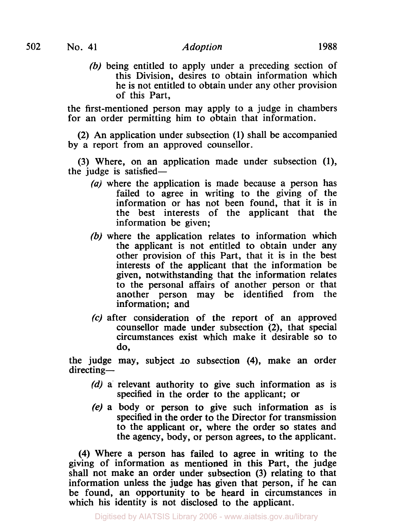(b) being entitled to apply under a preceding section of this Division, desires to obtain information which he is not entitled to obtain under any other provision of this Part,

the first-mentioned person may apply to a judge in chambers for an order permitting him to obtain that information.

(2) An application under subsection **(1)** shall be accompanied by a report from an approved counsellor.

(3) Where, on an application made under subsection **(1),**  the judge is satisfied-

- (a) where the application is made because a person has failed to agree in writing to the giving of the information or has not been found, that it is in the best interests of the applicant that the information be given;
- (b) where the application relates to information which the applicant is not entitled to obtain under any other provision of this Part, that it is in the best interests of the applicant that the information be given, notwithstanding that the information relates to the personal affairs of another person or that another person may be identified from the information; and
- *(c)* after consideration of the report of an approved counsellor made under subsection **(2),** that special circumstances exist which make it desirable so to do,

the judge may, subject **to** subsection **(4),** make an order directing-

- (d) a relevant authority to give such information as is specified in the order to the applicant; or
- **(e)** a body or person to give such information as is specified in the order to the Director for transmission to the applicant or, where the order **so** states and the agency, body, or person agrees, to the applicant.

**(4)** Where a person has failed to agree in writing to the giving of information as mentioned in this Part, the judge shall not make an order under subsection (3) relating to that information unless the judge has given that person, if he can be found, an opportunity to be heard in circumstances in which his identity is not disclosed to the applicant.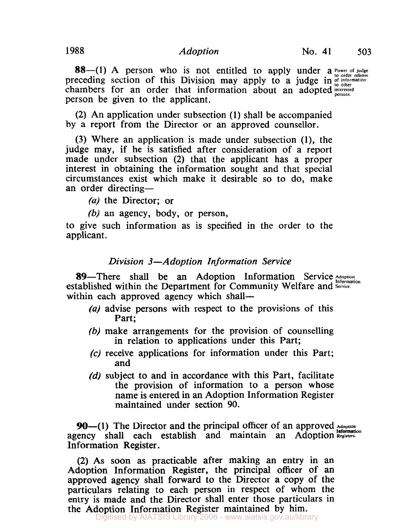**88**-(1) A person who is not entitled to apply under a Power of judge preceding section of this Division may apply to a judge in of information preceding section of this Division may apply to a judge in  $\frac{1}{100}$  order<br>chambers for an order that information about an adopted persons. person be given to the applicant.

(2) An application under subsection (1) shall be accompanied by a report from the Director or an approved counsellor.

(3) Where an application is made under subsection (1), the judge may, if he is satisfied after consideration of a report made under subsection (2) that the applicant has a proper interest in obtaining the information sought and that special circumstances exist which make it desirable so to do, make an order directing-

*(a)* the Director; or

(b) an agency, body, or person,

to give such information as is specified in the order to the applicant.

# *Division 3-Adoption In formation Service*

89—There shall be an Adoption Information Service Adoption established within the Department for Community Welfare and *Service*. within each approved agency which shall—

- *(a)* advise persons with respect to the provisions of this Part;
- (b) make arrangements for the provision of counselling in relation to applications under this Part;
- **(c)** receive applications for information under this Part; and
- *(d)* subject to and in accordance with this Part, facilitate the provision of information to a person whose name is entered in an Adoption Information Register maintained under section **90.**

90-(1) The Director and the principal officer of an approved Adoption agency shall each establish and maintain an Adoption Registers. Information Register.

(2) As soon as practicable after making an entry in an Adoption Information Register, the principal officer of an approved agency shall forward to the Director a copy of the particulars relating to each person in respect of whom the entry is made and the Director shall enter those particulars in the Adoption Information Register maintained by him.